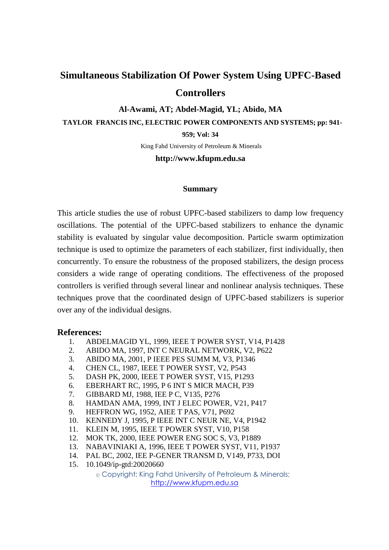## **Simultaneous Stabilization Of Power System Using UPFC-Based Controllers**

**Al-Awami, AT; Abdel-Magid, YL; Abido, MA** 

 **TAYLOR FRANCIS INC, ELECTRIC POWER COMPONENTS AND SYSTEMS; pp: 941-**

**959; Vol: 34** 

King Fahd University of Petroleum & Minerals

## **http://www.kfupm.edu.sa**

## **Summary**

This article studies the use of robust UPFC-based stabilizers to damp low frequency oscillations. The potential of the UPFC-based stabilizers to enhance the dynamic stability is evaluated by singular value decomposition. Particle swarm optimization technique is used to optimize the parameters of each stabilizer, first individually, then concurrently. To ensure the robustness of the proposed stabilizers, the design process considers a wide range of operating conditions. The effectiveness of the proposed controllers is verified through several linear and nonlinear analysis techniques. These techniques prove that the coordinated design of UPFC-based stabilizers is superior over any of the individual designs.

## **References:**

- 1. ABDELMAGID YL, 1999, IEEE T POWER SYST, V14, P1428
- 2. ABIDO MA, 1997, INT C NEURAL NETWORK, V2, P622
- 3. ABIDO MA, 2001, P IEEE PES SUMM M, V3, P1346
- 4. CHEN CL, 1987, IEEE T POWER SYST, V2, P543
- 5. DASH PK, 2000, IEEE T POWER SYST, V15, P1293
- 6. EBERHART RC, 1995, P 6 INT S MICR MACH, P39
- 7. GIBBARD MJ, 1988, IEE P C, V135, P276
- 8. HAMDAN AMA, 1999, INT J ELEC POWER, V21, P417
- 9. HEFFRON WG, 1952, AIEE T PAS, V71, P692
- 10. KENNEDY J, 1995, P IEEE INT C NEUR NE, V4, P1942
- 11. KLEIN M, 1995, IEEE T POWER SYST, V10, P158
- 12. MOK TK, 2000, IEEE POWER ENG SOC S, V3, P1889
- 13. NABAVINIAKI A, 1996, IEEE T POWER SYST, V11, P1937
- 14. PAL BC, 2002, IEE P-GENER TRANSM D, V149, P733, DOI
- 15. 10.1049/ip-gtd:20020660

© Copyright: King Fahd University of Petroleum & Minerals; http://www.kfupm.edu.sa